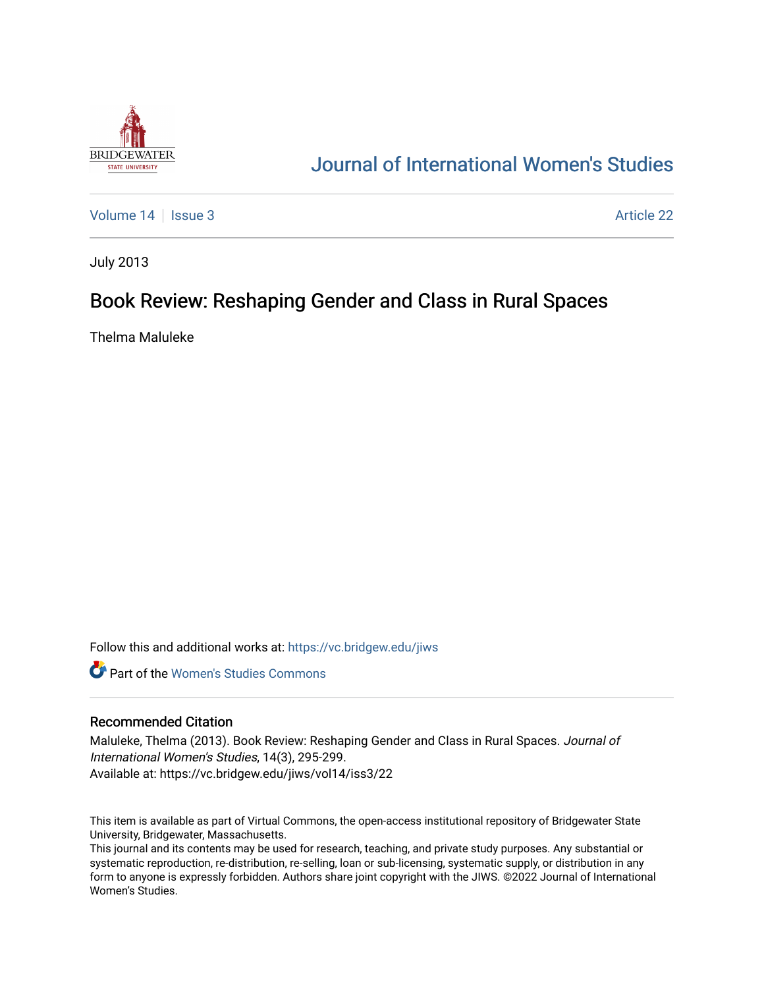

# [Journal of International Women's Studies](https://vc.bridgew.edu/jiws)

[Volume 14](https://vc.bridgew.edu/jiws/vol14) Sexue 3 Article 22

July 2013

# Book Review: Reshaping Gender and Class in Rural Spaces

Thelma Maluleke

Follow this and additional works at: [https://vc.bridgew.edu/jiws](https://vc.bridgew.edu/jiws?utm_source=vc.bridgew.edu%2Fjiws%2Fvol14%2Fiss3%2F22&utm_medium=PDF&utm_campaign=PDFCoverPages)

**C** Part of the Women's Studies Commons

## Recommended Citation

Maluleke, Thelma (2013). Book Review: Reshaping Gender and Class in Rural Spaces. Journal of International Women's Studies, 14(3), 295-299. Available at: https://vc.bridgew.edu/jiws/vol14/iss3/22

This item is available as part of Virtual Commons, the open-access institutional repository of Bridgewater State University, Bridgewater, Massachusetts.

This journal and its contents may be used for research, teaching, and private study purposes. Any substantial or systematic reproduction, re-distribution, re-selling, loan or sub-licensing, systematic supply, or distribution in any form to anyone is expressly forbidden. Authors share joint copyright with the JIWS. ©2022 Journal of International Women's Studies.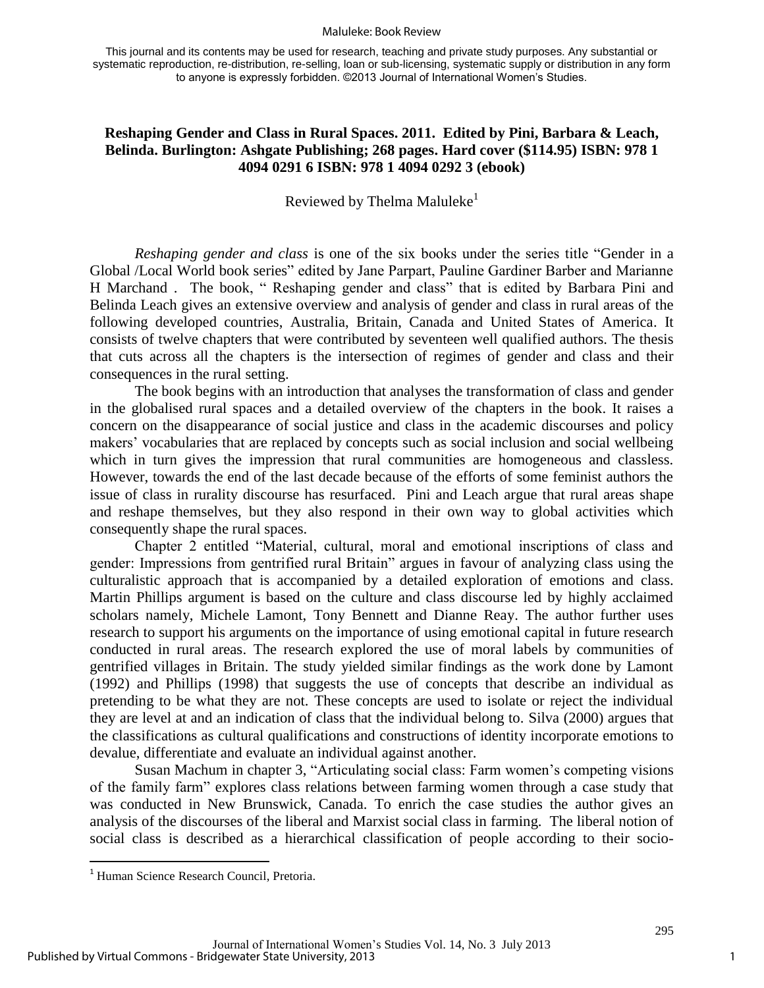#### Maluleke: Book Review

This journal and its contents may be used for research, teaching and private study purposes. Any substantial or systematic reproduction, re-distribution, re-selling, loan or sub-licensing, systematic supply or distribution in any form to anyone is expressly forbidden. ©2013 Journal of International Women's Studies.

## **Reshaping Gender and Class in Rural Spaces. 2011. Edited by Pini, Barbara & Leach, Belinda. Burlington: Ashgate Publishing; 268 pages. Hard cover (\$114.95) ISBN: 978 1 4094 0291 6 ISBN: 978 1 4094 0292 3 (ebook)**

## Reviewed by Thelma Maluleke<sup>1</sup>

*Reshaping gender and class* is one of the six books under the series title "Gender in a Global /Local World book series" edited by Jane Parpart, Pauline Gardiner Barber and Marianne H Marchand . The book, " Reshaping gender and class" that is edited by Barbara Pini and Belinda Leach gives an extensive overview and analysis of gender and class in rural areas of the following developed countries, Australia, Britain, Canada and United States of America. It consists of twelve chapters that were contributed by seventeen well qualified authors. The thesis that cuts across all the chapters is the intersection of regimes of gender and class and their consequences in the rural setting.

The book begins with an introduction that analyses the transformation of class and gender in the globalised rural spaces and a detailed overview of the chapters in the book. It raises a concern on the disappearance of social justice and class in the academic discourses and policy makers' vocabularies that are replaced by concepts such as social inclusion and social wellbeing which in turn gives the impression that rural communities are homogeneous and classless. However, towards the end of the last decade because of the efforts of some feminist authors the issue of class in rurality discourse has resurfaced. Pini and Leach argue that rural areas shape and reshape themselves, but they also respond in their own way to global activities which consequently shape the rural spaces.

Chapter 2 entitled "Material, cultural, moral and emotional inscriptions of class and gender: Impressions from gentrified rural Britain" argues in favour of analyzing class using the culturalistic approach that is accompanied by a detailed exploration of emotions and class. Martin Phillips argument is based on the culture and class discourse led by highly acclaimed scholars namely, Michele Lamont, Tony Bennett and Dianne Reay. The author further uses research to support his arguments on the importance of using emotional capital in future research conducted in rural areas. The research explored the use of moral labels by communities of gentrified villages in Britain. The study yielded similar findings as the work done by Lamont (1992) and Phillips (1998) that suggests the use of concepts that describe an individual as pretending to be what they are not. These concepts are used to isolate or reject the individual they are level at and an indication of class that the individual belong to. Silva (2000) argues that the classifications as cultural qualifications and constructions of identity incorporate emotions to devalue, differentiate and evaluate an individual against another.

Susan Machum in chapter 3, "Articulating social class: Farm women's competing visions of the family farm" explores class relations between farming women through a case study that was conducted in New Brunswick, Canada. To enrich the case studies the author gives an analysis of the discourses of the liberal and Marxist social class in farming. The liberal notion of social class is described as a hierarchical classification of people according to their socio-

 $\overline{\phantom{a}}$ 

<sup>1</sup> Human Science Research Council, Pretoria.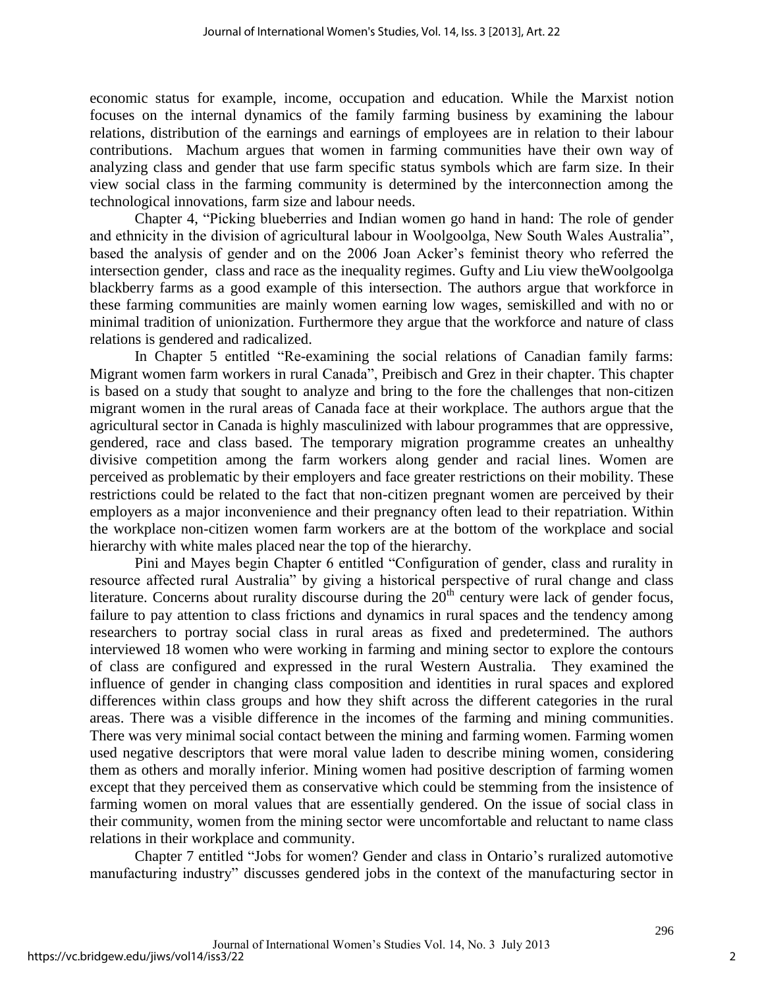economic status for example, income, occupation and education. While the Marxist notion focuses on the internal dynamics of the family farming business by examining the labour relations, distribution of the earnings and earnings of employees are in relation to their labour contributions. Machum argues that women in farming communities have their own way of analyzing class and gender that use farm specific status symbols which are farm size. In their view social class in the farming community is determined by the interconnection among the technological innovations, farm size and labour needs.

Chapter 4, "Picking blueberries and Indian women go hand in hand: The role of gender and ethnicity in the division of agricultural labour in Woolgoolga, New South Wales Australia", based the analysis of gender and on the 2006 Joan Acker's feminist theory who referred the intersection gender, class and race as the inequality regimes. Gufty and Liu view theWoolgoolga blackberry farms as a good example of this intersection. The authors argue that workforce in these farming communities are mainly women earning low wages, semiskilled and with no or minimal tradition of unionization. Furthermore they argue that the workforce and nature of class relations is gendered and radicalized.

In Chapter 5 entitled "Re-examining the social relations of Canadian family farms: Migrant women farm workers in rural Canada", Preibisch and Grez in their chapter. This chapter is based on a study that sought to analyze and bring to the fore the challenges that non-citizen migrant women in the rural areas of Canada face at their workplace. The authors argue that the agricultural sector in Canada is highly masculinized with labour programmes that are oppressive, gendered, race and class based. The temporary migration programme creates an unhealthy divisive competition among the farm workers along gender and racial lines. Women are perceived as problematic by their employers and face greater restrictions on their mobility. These restrictions could be related to the fact that non-citizen pregnant women are perceived by their employers as a major inconvenience and their pregnancy often lead to their repatriation. Within the workplace non-citizen women farm workers are at the bottom of the workplace and social hierarchy with white males placed near the top of the hierarchy.

Pini and Mayes begin Chapter 6 entitled "Configuration of gender, class and rurality in resource affected rural Australia" by giving a historical perspective of rural change and class literature. Concerns about rurality discourse during the  $20<sup>th</sup>$  century were lack of gender focus, failure to pay attention to class frictions and dynamics in rural spaces and the tendency among researchers to portray social class in rural areas as fixed and predetermined. The authors interviewed 18 women who were working in farming and mining sector to explore the contours of class are configured and expressed in the rural Western Australia. They examined the influence of gender in changing class composition and identities in rural spaces and explored differences within class groups and how they shift across the different categories in the rural areas. There was a visible difference in the incomes of the farming and mining communities. There was very minimal social contact between the mining and farming women. Farming women used negative descriptors that were moral value laden to describe mining women, considering them as others and morally inferior. Mining women had positive description of farming women except that they perceived them as conservative which could be stemming from the insistence of farming women on moral values that are essentially gendered. On the issue of social class in their community, women from the mining sector were uncomfortable and reluctant to name class relations in their workplace and community.

Chapter 7 entitled "Jobs for women? Gender and class in Ontario's ruralized automotive manufacturing industry" discusses gendered jobs in the context of the manufacturing sector in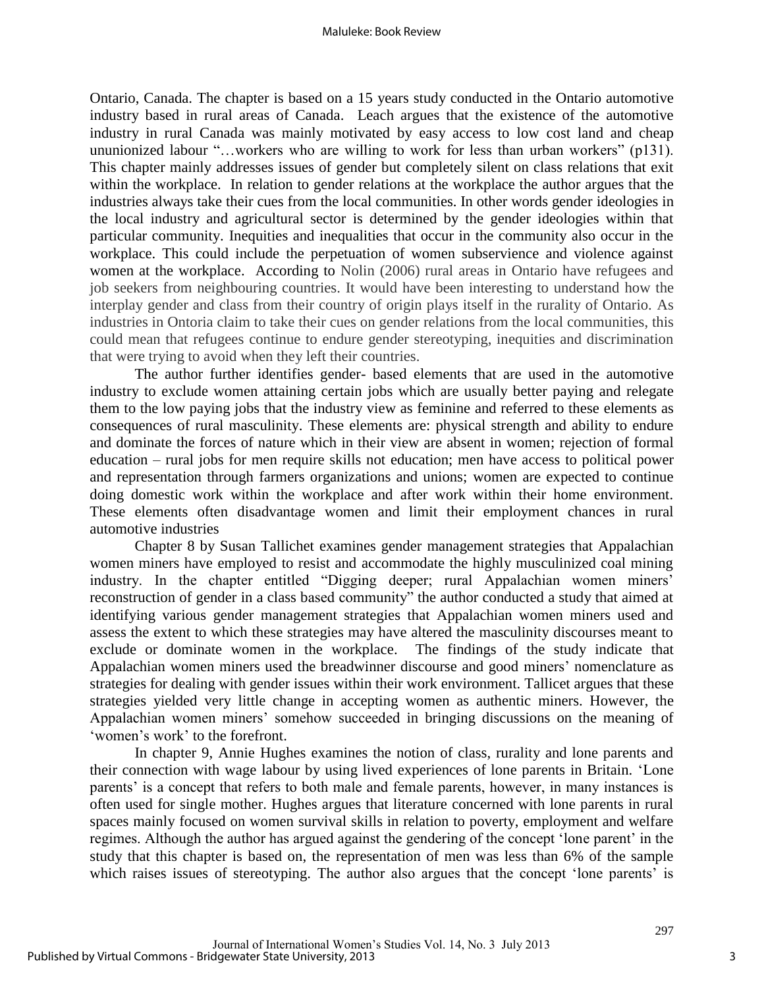### Maluleke: Book Review

Ontario, Canada. The chapter is based on a 15 years study conducted in the Ontario automotive industry based in rural areas of Canada. Leach argues that the existence of the automotive industry in rural Canada was mainly motivated by easy access to low cost land and cheap ununionized labour "…workers who are willing to work for less than urban workers" (p131). This chapter mainly addresses issues of gender but completely silent on class relations that exit within the workplace. In relation to gender relations at the workplace the author argues that the industries always take their cues from the local communities. In other words gender ideologies in the local industry and agricultural sector is determined by the gender ideologies within that particular community. Inequities and inequalities that occur in the community also occur in the workplace. This could include the perpetuation of women subservience and violence against women at the workplace. According to Nolin (2006) rural areas in Ontario have refugees and job seekers from neighbouring countries. It would have been interesting to understand how the interplay gender and class from their country of origin plays itself in the rurality of Ontario. As industries in Ontoria claim to take their cues on gender relations from the local communities, this could mean that refugees continue to endure gender stereotyping, inequities and discrimination that were trying to avoid when they left their countries.

The author further identifies gender- based elements that are used in the automotive industry to exclude women attaining certain jobs which are usually better paying and relegate them to the low paying jobs that the industry view as feminine and referred to these elements as consequences of rural masculinity. These elements are: physical strength and ability to endure and dominate the forces of nature which in their view are absent in women; rejection of formal education – rural jobs for men require skills not education; men have access to political power and representation through farmers organizations and unions; women are expected to continue doing domestic work within the workplace and after work within their home environment. These elements often disadvantage women and limit their employment chances in rural automotive industries

Chapter 8 by Susan Tallichet examines gender management strategies that Appalachian women miners have employed to resist and accommodate the highly musculinized coal mining industry. In the chapter entitled "Digging deeper; rural Appalachian women miners' reconstruction of gender in a class based community" the author conducted a study that aimed at identifying various gender management strategies that Appalachian women miners used and assess the extent to which these strategies may have altered the masculinity discourses meant to exclude or dominate women in the workplace. The findings of the study indicate that Appalachian women miners used the breadwinner discourse and good miners' nomenclature as strategies for dealing with gender issues within their work environment. Tallicet argues that these strategies yielded very little change in accepting women as authentic miners. However, the Appalachian women miners' somehow succeeded in bringing discussions on the meaning of 'women's work' to the forefront.

In chapter 9, Annie Hughes examines the notion of class, rurality and lone parents and their connection with wage labour by using lived experiences of lone parents in Britain. 'Lone parents' is a concept that refers to both male and female parents, however, in many instances is often used for single mother. Hughes argues that literature concerned with lone parents in rural spaces mainly focused on women survival skills in relation to poverty, employment and welfare regimes. Although the author has argued against the gendering of the concept 'lone parent' in the study that this chapter is based on, the representation of men was less than 6% of the sample which raises issues of stereotyping. The author also argues that the concept 'lone parents' is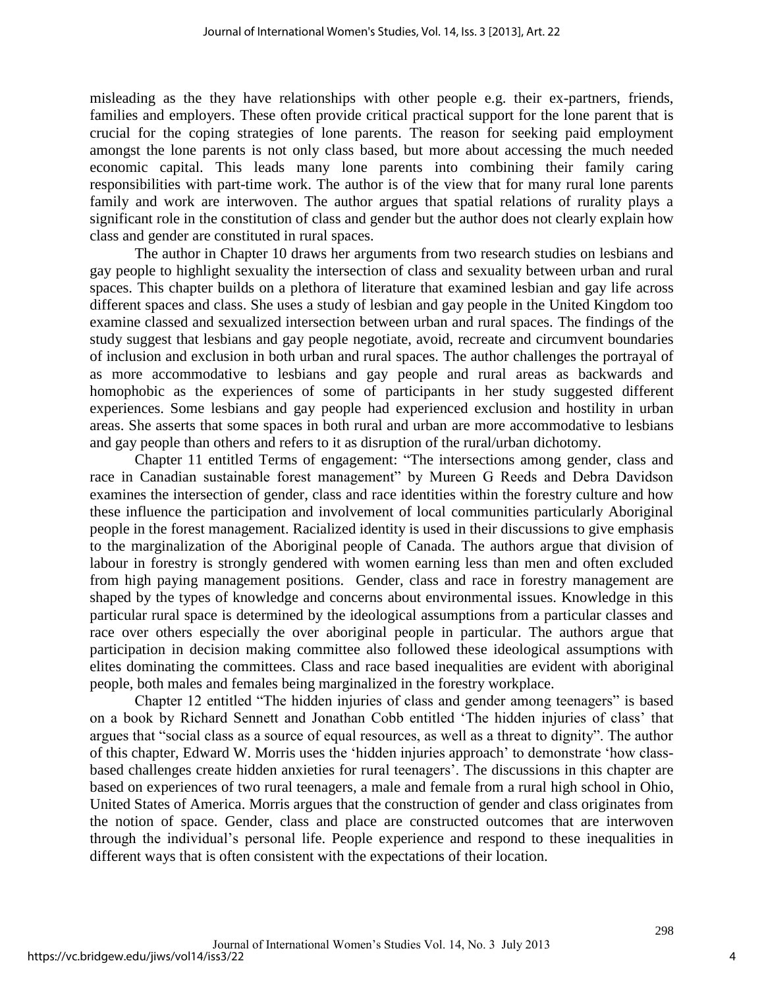misleading as the they have relationships with other people e.g. their ex-partners, friends, families and employers. These often provide critical practical support for the lone parent that is crucial for the coping strategies of lone parents. The reason for seeking paid employment amongst the lone parents is not only class based, but more about accessing the much needed economic capital. This leads many lone parents into combining their family caring responsibilities with part-time work. The author is of the view that for many rural lone parents family and work are interwoven. The author argues that spatial relations of rurality plays a significant role in the constitution of class and gender but the author does not clearly explain how class and gender are constituted in rural spaces.

The author in Chapter 10 draws her arguments from two research studies on lesbians and gay people to highlight sexuality the intersection of class and sexuality between urban and rural spaces. This chapter builds on a plethora of literature that examined lesbian and gay life across different spaces and class. She uses a study of lesbian and gay people in the United Kingdom too examine classed and sexualized intersection between urban and rural spaces. The findings of the study suggest that lesbians and gay people negotiate, avoid, recreate and circumvent boundaries of inclusion and exclusion in both urban and rural spaces. The author challenges the portrayal of as more accommodative to lesbians and gay people and rural areas as backwards and homophobic as the experiences of some of participants in her study suggested different experiences. Some lesbians and gay people had experienced exclusion and hostility in urban areas. She asserts that some spaces in both rural and urban are more accommodative to lesbians and gay people than others and refers to it as disruption of the rural/urban dichotomy.

Chapter 11 entitled Terms of engagement: "The intersections among gender, class and race in Canadian sustainable forest management" by Mureen G Reeds and Debra Davidson examines the intersection of gender, class and race identities within the forestry culture and how these influence the participation and involvement of local communities particularly Aboriginal people in the forest management. Racialized identity is used in their discussions to give emphasis to the marginalization of the Aboriginal people of Canada. The authors argue that division of labour in forestry is strongly gendered with women earning less than men and often excluded from high paying management positions. Gender, class and race in forestry management are shaped by the types of knowledge and concerns about environmental issues. Knowledge in this particular rural space is determined by the ideological assumptions from a particular classes and race over others especially the over aboriginal people in particular. The authors argue that participation in decision making committee also followed these ideological assumptions with elites dominating the committees. Class and race based inequalities are evident with aboriginal people, both males and females being marginalized in the forestry workplace.

Chapter 12 entitled "The hidden injuries of class and gender among teenagers" is based on a book by Richard Sennett and Jonathan Cobb entitled 'The hidden injuries of class' that argues that "social class as a source of equal resources, as well as a threat to dignity". The author of this chapter, Edward W. Morris uses the 'hidden injuries approach' to demonstrate 'how classbased challenges create hidden anxieties for rural teenagers'. The discussions in this chapter are based on experiences of two rural teenagers, a male and female from a rural high school in Ohio, United States of America. Morris argues that the construction of gender and class originates from the notion of space. Gender, class and place are constructed outcomes that are interwoven through the individual's personal life. People experience and respond to these inequalities in different ways that is often consistent with the expectations of their location.